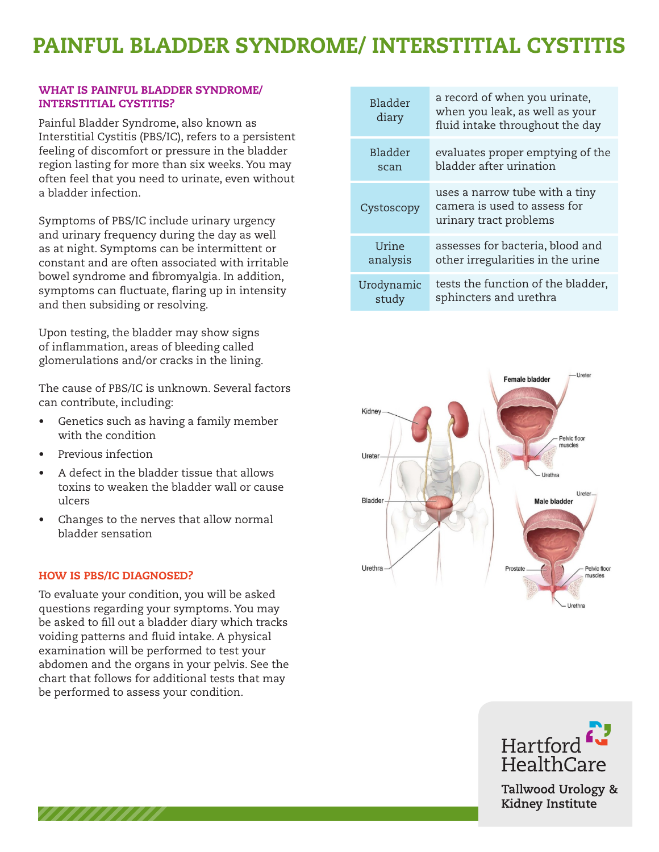# PAINFUL BLADDER SYNDROME/ INTERSTITIAL CYSTITIS

# **WHAT IS PAINFUL BLADDER SYNDROME/ Painting of the synoptic synoptic synoptic synoptic synoptic synoptic synoptic synoptic synoptic synoptic synoptic synoptic synoptic synoptic synoptic synoptic synoptic synoptic synopti** INTERSTITIAL CYSTITIS?

Painful Bladder Syndrome, also known as Interstitial Cystitis (PBS/IC), refers to a persistent feeling of discomfort or pressure in the bladder region lasting for more than six weeks. You may often feel that you need to urinate, even without a bladder infection.

Symptoms of PBS/IC include urinary urgency and urinary frequency during the day as well and dimary requestly during the day as well<br>as at night. Symptoms can be intermittent or as at night. symptoms can be intermittent or and  $\alpha$ constant and are orten associated with irritaste<br>bowel syndrome and fibromyalgia. In addition, symptoms can fluctuate, flaring up in intensity<br>symptoms can fluctuate, flaring up in intensity bymptoms can nactaate, namng ap in intensity<br>and then subsiding or resolving. In subsiding of resolving.

Upon testing, the bladder may show signs opon testing, the blauder may show sight<br>of inflammation, areas of bleeding called glomerulations and/or cracks in the lining.

The cause of PBS/IC is unknown. Several factors can contribute, including:  $\epsilon$  in  $\epsilon$  in  $\epsilon$  are as of bleeding called called called called called called called called called called called called called called called called called called called called called called called called called called glomerations and cracks in the lining of cracks in the lining  $\alpha$ 

- $\bullet$  Genetics such as having a family member with the condition
- Previous infection
- A defect in the bladder tissue that allows toxins to weaken the bladder wall or cause ulcers  $m_{\text{c}}$  with the condition.  $\cot$  in the bladder tissue
- Changes to the nerves that allow normal bladder sensation

#### HOW IS PBS/IC DIAGNOSED?

,,,,,,,,,,,,,

To evaluate your condition, you will be asked questions regarding your symptoms. You may questions regarding your symptoms. Tou may<br>be asked to fill out a bladder diary which tracks voiding patterns and fluid intake. A physical examination will be performed to test your<br>——————————————————— abdomen and the organs in your pelvis. See the chart that follows for additional tests that may<br>. be performed to assess your condition. The your condition, you will be asked ed to fill out a bladder diary which tracks

| Bladder<br>diary | a record of when you urinate,<br>when you leak, as well as your<br>fluid intake throughout the day |
|------------------|----------------------------------------------------------------------------------------------------|
| Bladder          | evaluates proper emptying of the                                                                   |
| scan             | bladder after urination                                                                            |
| Cystoscopy       | uses a narrow tube with a tiny<br>camera is used to assess for<br>urinary tract problems           |
| Urine            | assesses for bacteria, blood and                                                                   |
| analysis         | other irregularities in the urine                                                                  |
| Urodynamic       | tests the function of the bladder,                                                                 |
| study            | sphincters and urethra                                                                             |





Tallwood Urology & Kidney Institute